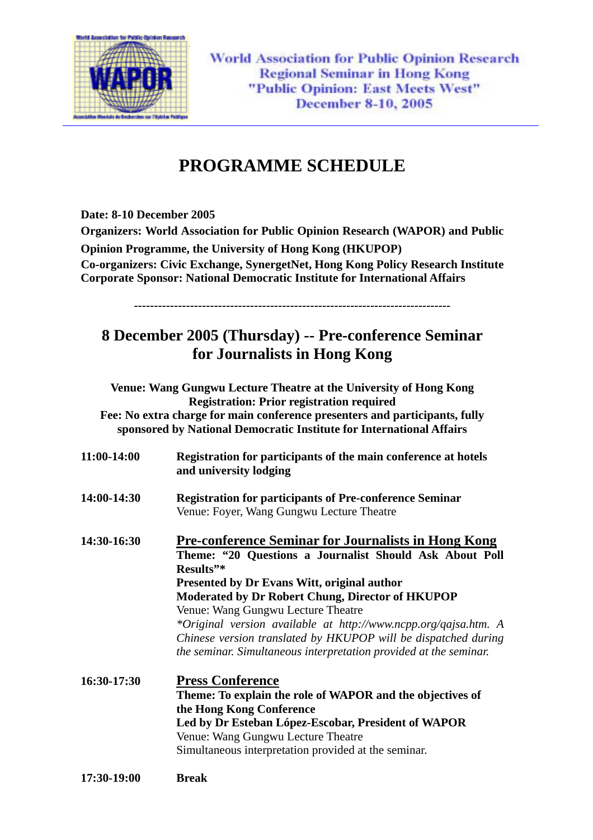

**World Association for Public Opinion Research Regional Seminar in Hong Kong** "Public Opinion: East Meets West" December 8-10, 2005

# **PROGRAMME SCHEDULE**

**Date: 8-10 December 2005** 

**Organizers: World Association for Public Opinion Research (WAPOR) and Public Opinion Programme, the University of Hong Kong (HKUPOP) Co-organizers: Civic Exchange, SynergetNet, Hong Kong Policy Research Institute Corporate Sponsor: National Democratic Institute for International Affairs** 

**-------------------------------------------------------------------------------** 

# **8 December 2005 (Thursday) -- Pre-conference Seminar for Journalists in Hong Kong**

**Venue: Wang Gungwu Lecture Theatre at the University of Hong Kong Registration: Prior registration required Fee: No extra charge for main conference presenters and participants, fully sponsored by National Democratic Institute for International Affairs 11:00-14:00 Registration for participants of the main conference at hotels and university lodging 14:00-14:30 Registration for participants of Pre-conference Seminar**  Venue: Foyer, Wang Gungwu Lecture Theatre **14:30-16:30 Pre-conference Seminar for Journalists in Hong Kong Theme: "20 Questions a Journalist Should Ask About Poll** 

**Results"\* Presented by Dr Evans Witt, original author Moderated by Dr Robert Chung, Director of HKUPOP**  Venue: Wang Gungwu Lecture Theatre  *\*Original version available at http://www.ncpp.org/qajsa.htm. A Chinese version translated by HKUPOP will be dispatched during the seminar. Simultaneous interpretation provided at the seminar.* 

**16:30-17:30 Press Conference Theme: To explain the role of WAPOR and the objectives of the Hong Kong Conference Led by Dr Esteban López-Escobar, President of WAPOR**  Venue: Wang Gungwu Lecture Theatre Simultaneous interpretation provided at the seminar.

**17:30-19:00 Break**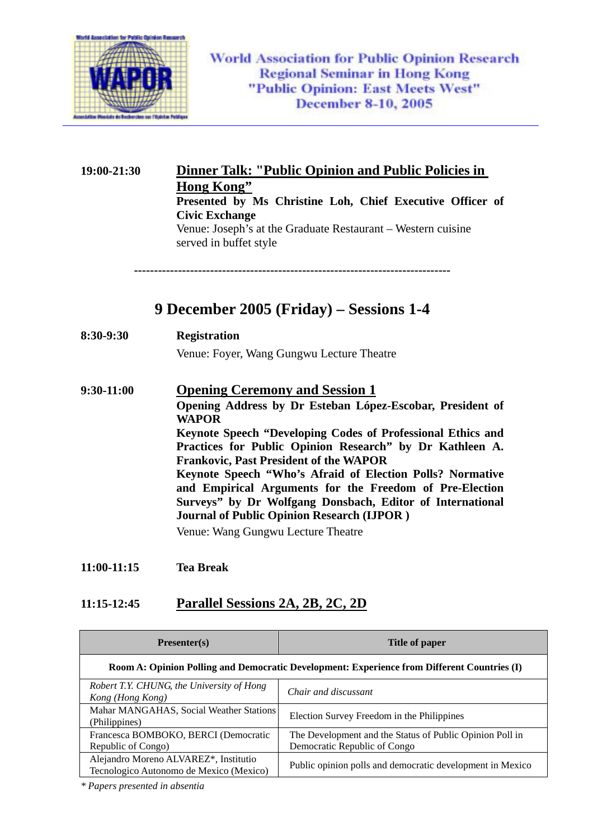

**19:00-21:30 Dinner Talk: "Public Opinion and Public Policies in Hong Kong" Presented by Ms Christine Loh, Chief Executive Officer of Civic Exchange**  Venue: Joseph's at the Graduate Restaurant – Western cuisine served in buffet style **------------------------------------------------------------------------------- 9 December 2005 (Friday) – Sessions 1-4 8:30-9:30 Registration**  Venue: Foyer, Wang Gungwu Lecture Theatre **9:30-11:00 Opening Ceremony and Session 1 Opening Address by Dr Esteban López-Escobar, President of WAPOR Keynote Speech "Developing Codes of Professional Ethics and** 

**Practices for Public Opinion Research" by Dr Kathleen A. Frankovic, Past President of the WAPOR Keynote Speech "Who's Afraid of Election Polls? Normative and Empirical Arguments for the Freedom of Pre-Election Surveys" by Dr Wolfgang Donsbach, Editor of International Journal of Public Opinion Research (IJPOR )** 

Venue: Wang Gungwu Lecture Theatre

**11:00-11:15 Tea Break** 

### **11:15-12:45 Parallel Sessions 2A, 2B, 2C, 2D**

| Presenter(s)                                                                                | Title of paper                                                                           |
|---------------------------------------------------------------------------------------------|------------------------------------------------------------------------------------------|
| Room A: Opinion Polling and Democratic Development: Experience from Different Countries (I) |                                                                                          |
| Robert T.Y. CHUNG, the University of Hong<br>Kong (Hong Kong)                               | Chair and discussant                                                                     |
| Mahar MANGAHAS, Social Weather Stations<br>(Philippines)                                    | Election Survey Freedom in the Philippines                                               |
| Francesca BOMBOKO, BERCI (Democratic<br>Republic of Congo)                                  | The Development and the Status of Public Opinion Poll in<br>Democratic Republic of Congo |
| Alejandro Moreno ALVAREZ*, Institutio<br>Tecnologico Autonomo de Mexico (Mexico)            | Public opinion polls and democratic development in Mexico                                |

*\* Papers presented in absentia*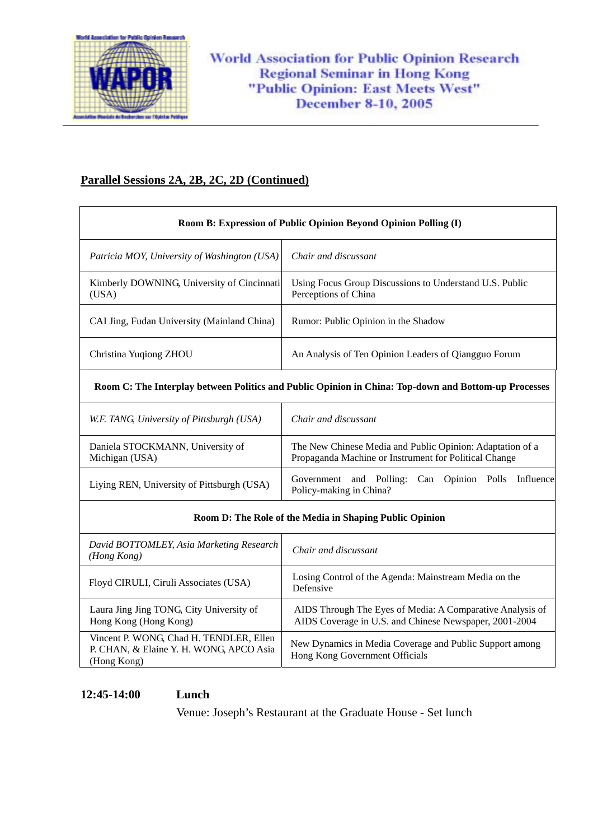

## **Parallel Sessions 2A, 2B, 2C, 2D (Continued)**

| Room B: Expression of Public Opinion Beyond Opinion Polling (I)                                      |                                                                                                                     |
|------------------------------------------------------------------------------------------------------|---------------------------------------------------------------------------------------------------------------------|
| Patricia MOY, University of Washington (USA)                                                         | Chair and discussant                                                                                                |
| Kimberly DOWNING, University of Cincinnati<br>(USA)                                                  | Using Focus Group Discussions to Understand U.S. Public<br>Perceptions of China                                     |
| CAI Jing, Fudan University (Mainland China)                                                          | Rumor: Public Opinion in the Shadow                                                                                 |
| Christina Yuqiong ZHOU                                                                               | An Analysis of Ten Opinion Leaders of Qiangguo Forum                                                                |
| Room C: The Interplay between Politics and Public Opinion in China: Top-down and Bottom-up Processes |                                                                                                                     |
| W.F. TANG, University of Pittsburgh (USA)                                                            | Chair and discussant                                                                                                |
| Daniela STOCKMANN, University of<br>Michigan (USA)                                                   | The New Chinese Media and Public Opinion: Adaptation of a<br>Propaganda Machine or Instrument for Political Change  |
| Liying REN, University of Pittsburgh (USA)                                                           | and Polling: Can Opinion Polls<br>Influence<br>Government<br>Policy-making in China?                                |
| Room D: The Role of the Media in Shaping Public Opinion                                              |                                                                                                                     |
| David BOTTOMLEY, Asia Marketing Research<br>(Hong Kong)                                              | Chair and discussant                                                                                                |
| Floyd CIRULI, Ciruli Associates (USA)                                                                | Losing Control of the Agenda: Mainstream Media on the<br>Defensive                                                  |
| Laura Jing Jing TONG, City University of<br>Hong Kong (Hong Kong)                                    | AIDS Through The Eyes of Media: A Comparative Analysis of<br>AIDS Coverage in U.S. and Chinese Newspaper, 2001-2004 |
| Vincent P. WONG, Chad H. TENDLER, Ellen<br>P. CHAN, & Elaine Y. H. WONG, APCO Asia<br>(Hong Kong)    | New Dynamics in Media Coverage and Public Support among<br>Hong Kong Government Officials                           |

#### **12:45-14:00 Lunch**

Venue: Joseph's Restaurant at the Graduate House - Set lunch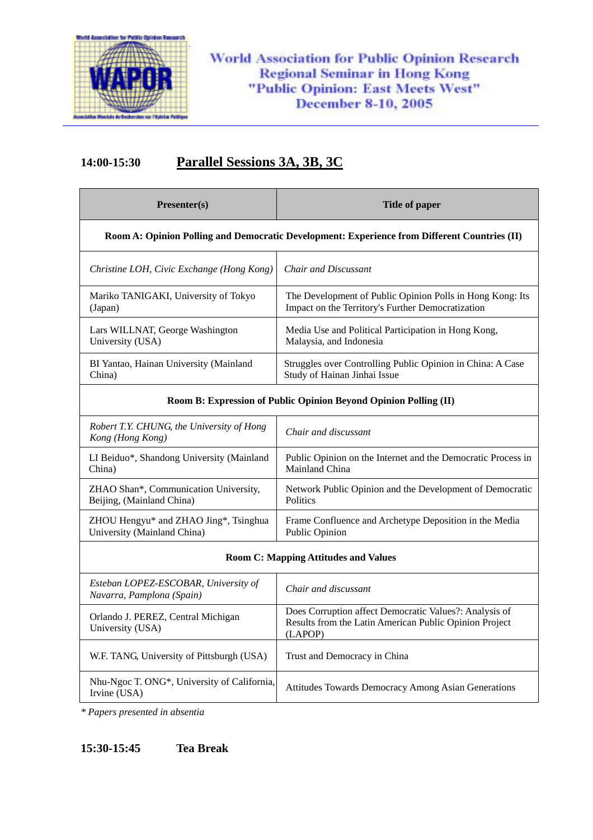

## **14:00-15:30 Parallel Sessions 3A, 3B, 3C**

| Presenter(s)                                                                                 | Title of paper                                             |
|----------------------------------------------------------------------------------------------|------------------------------------------------------------|
| Room A: Opinion Polling and Democratic Development: Experience from Different Countries (II) |                                                            |
| Christine LOH, Civic Exchange (Hong Kong)                                                    | Chair and Discussant                                       |
| Mariko TANIGAKI, University of Tokyo                                                         | The Development of Public Opinion Polls in Hong Kong: Its  |
| (Japan)                                                                                      | Impact on the Territory's Further Democratization          |
| Lars WILLNAT, George Washington                                                              | Media Use and Political Participation in Hong Kong,        |
| University (USA)                                                                             | Malaysia, and Indonesia                                    |
| BI Yantao, Hainan University (Mainland                                                       | Struggles over Controlling Public Opinion in China: A Case |
| China)                                                                                       | Study of Hainan Jinhai Issue                               |

#### **Room B: Expression of Public Opinion Beyond Opinion Polling (II)**

| Robert T.Y. CHUNG, the University of Hong<br>Kong (Hong Kong) | Chair and discussant                                         |
|---------------------------------------------------------------|--------------------------------------------------------------|
| LI Beiduo*, Shandong University (Mainland                     | Public Opinion on the Internet and the Democratic Process in |
| China)                                                        | Mainland China                                               |
| ZHAO Shan*, Communication University,                         | Network Public Opinion and the Development of Democratic     |
| Beijing, (Mainland China)                                     | <b>Politics</b>                                              |
| ZHOU Hengyu* and ZHAO Jing*, Tsinghua                         | Frame Confluence and Archetype Deposition in the Media       |
| University (Mainland China)                                   | Public Opinion                                               |

#### **Room C: Mapping Attitudes and Values**

| Esteban LOPEZ-ESCOBAR, University of<br>Navarra, Pamplona (Spain)        | Chair and discussant                                                                                                        |
|--------------------------------------------------------------------------|-----------------------------------------------------------------------------------------------------------------------------|
| Orlando J. PEREZ, Central Michigan<br>University (USA)                   | Does Corruption affect Democratic Values?: Analysis of<br>Results from the Latin American Public Opinion Project<br>(LAPOP) |
| W.F. TANG, University of Pittsburgh (USA)                                | Trust and Democracy in China                                                                                                |
| Nhu-Ngoc T. ONG <sup>*</sup> , University of California,<br>Irvine (USA) | <b>Attitudes Towards Democracy Among Asian Generations</b>                                                                  |

*\* Papers presented in absentia*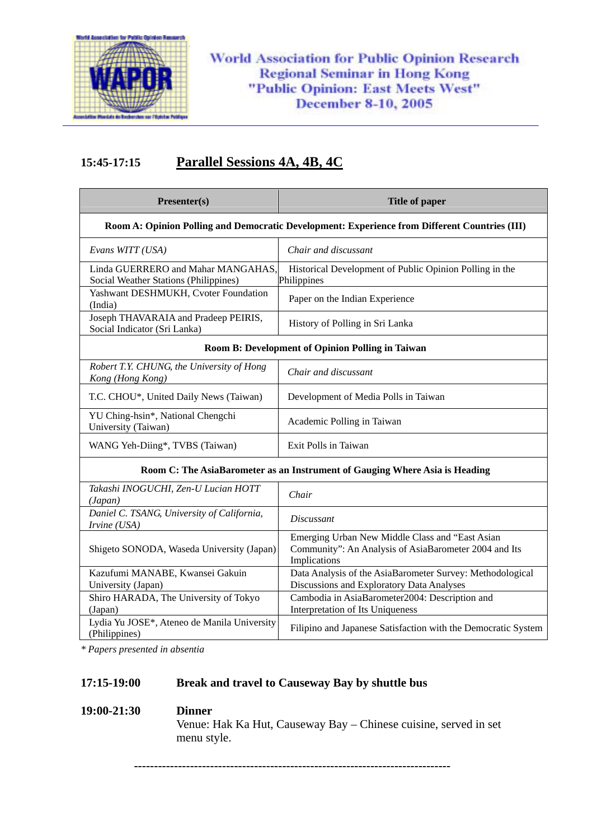

**World Association for Public Opinion Research Regional Seminar in Hong Kong** "Public Opinion: East Meets West" **December 8-10, 2005** 

## **15:45-17:15 Parallel Sessions 4A, 4B, 4C**

| Presenter(s)                                                                | <b>Title of paper</b>                                                                                                    |
|-----------------------------------------------------------------------------|--------------------------------------------------------------------------------------------------------------------------|
|                                                                             | Room A: Opinion Polling and Democratic Development: Experience from Different Countries (III)                            |
| Evans WITT (USA)                                                            | Chair and discussant                                                                                                     |
| Linda GUERRERO and Mahar MANGAHAS,<br>Social Weather Stations (Philippines) | Historical Development of Public Opinion Polling in the<br>Philippines                                                   |
| Yashwant DESHMUKH, Cvoter Foundation<br>(India)                             | Paper on the Indian Experience                                                                                           |
| Joseph THAVARAIA and Pradeep PEIRIS,<br>Social Indicator (Sri Lanka)        | History of Polling in Sri Lanka                                                                                          |
| Room B: Development of Opinion Polling in Taiwan                            |                                                                                                                          |
| Robert T.Y. CHUNG, the University of Hong<br>Kong (Hong Kong)               | Chair and discussant                                                                                                     |
| T.C. CHOU*, United Daily News (Taiwan)                                      | Development of Media Polls in Taiwan                                                                                     |
| YU Ching-hsin*, National Chengchi<br>University (Taiwan)                    | Academic Polling in Taiwan                                                                                               |
| WANG Yeh-Diing*, TVBS (Taiwan)                                              | Exit Polls in Taiwan                                                                                                     |
| Room C: The AsiaBarometer as an Instrument of Gauging Where Asia is Heading |                                                                                                                          |
| Takashi INOGUCHI, Zen-U Lucian HOTT<br>(Japan)                              | Chair                                                                                                                    |
| Daniel C. TSANG, University of California,<br>Irvine (USA)                  | <i>Discussant</i>                                                                                                        |
| Shigeto SONODA, Waseda University (Japan)                                   | Emerging Urban New Middle Class and "East Asian<br>Community": An Analysis of AsiaBarometer 2004 and Its<br>Implications |
| Kazufumi MANABE, Kwansei Gakuin<br>University (Japan)                       | Data Analysis of the AsiaBarometer Survey: Methodological<br>Discussions and Exploratory Data Analyses                   |
| Shiro HARADA, The University of Tokyo<br>(Japan)                            | Cambodia in AsiaBarometer2004: Description and<br>Interpretation of Its Uniqueness                                       |
| Lydia Yu JOSE*, Ateneo de Manila University<br>(Philippines)                | Filipino and Japanese Satisfaction with the Democratic System                                                            |

*\* Papers presented in absentia*

## **17:15-19:00 Break and travel to Causeway Bay by shuttle bus**

## **19:00-21:30 Dinner**  Venue: Hak Ka Hut, Causeway Bay – Chinese cuisine, served in set menu style.

**-------------------------------------------------------------------------------**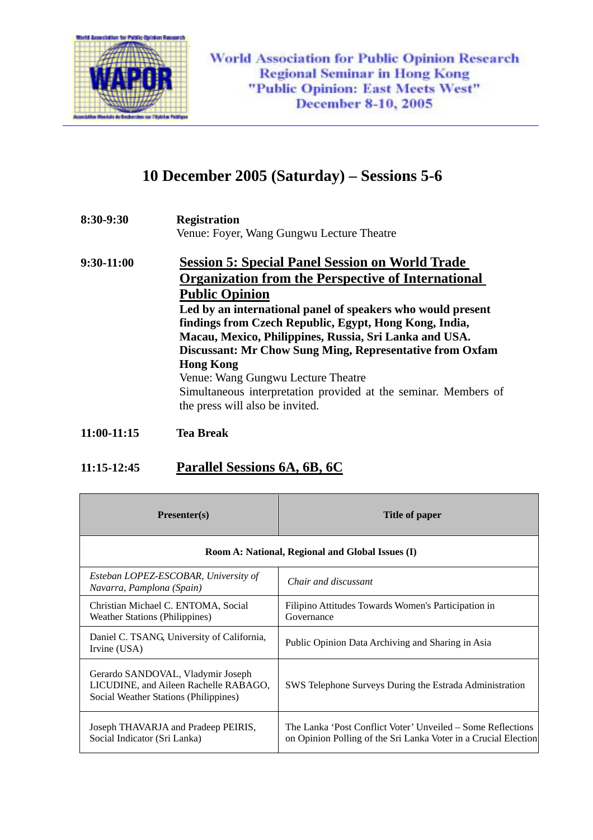

# **10 December 2005 (Saturday) – Sessions 5-6**

**8:30-9:30 Registration** 

Venue: Foyer, Wang Gungwu Lecture Theatre

**9:30-11:00 Session 5: Special Panel Session on World Trade Organization from the Perspective of International Public Opinion Led by an international panel of speakers who would present findings from Czech Republic, Egypt, Hong Kong, India, Macau, Mexico, Philippines, Russia, Sri Lanka and USA. Discussant: Mr Chow Sung Ming, Representative from Oxfam Hong Kong**  Venue: Wang Gungwu Lecture Theatre Simultaneous interpretation provided at the seminar. Members of the press will also be invited.

#### **11:00-11:15 Tea Break**

### **11:15-12:45 Parallel Sessions 6A, 6B, 6C**

| $Presenter(s)$                                                                                                      | <b>Title of paper</b>                                                                                                          |
|---------------------------------------------------------------------------------------------------------------------|--------------------------------------------------------------------------------------------------------------------------------|
| Room A: National, Regional and Global Issues (I)                                                                    |                                                                                                                                |
| Esteban LOPEZ-ESCOBAR, University of<br>Navarra, Pamplona (Spain)                                                   | Chair and discussant                                                                                                           |
| Christian Michael C. ENTOMA, Social<br><b>Weather Stations (Philippines)</b>                                        | Filipino Attitudes Towards Women's Participation in<br>Governance                                                              |
| Daniel C. TSANG, University of California,<br>Irvine (USA)                                                          | Public Opinion Data Archiving and Sharing in Asia                                                                              |
| Gerardo SANDOVAL, Vladymir Joseph<br>LICUDINE, and Aileen Rachelle RABAGO,<br>Social Weather Stations (Philippines) | SWS Telephone Surveys During the Estrada Administration                                                                        |
| Joseph THAVARJA and Pradeep PEIRIS,<br>Social Indicator (Sri Lanka)                                                 | The Lanka 'Post Conflict Voter' Unveiled – Some Reflections<br>on Opinion Polling of the Sri Lanka Voter in a Crucial Election |